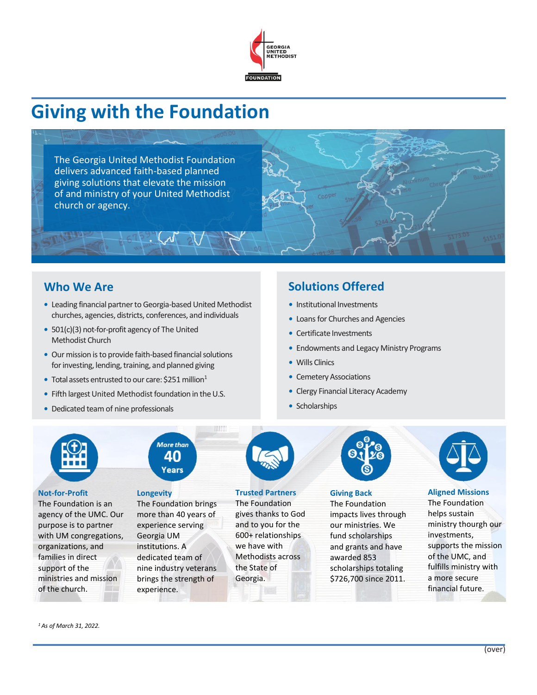

# **Giving with the Foundation**

The Georgia United Methodist Foundation delivers advanced faith-based planned giving solutions that elevate the mission of and ministry of your United Methodist church or agency.

# **Who We Are**

- Leading financial partner to Georgia-based United Methodist churches, agencies, districts, conferences, and individuals
- *•* 501(c)(3) not-for-profit agency of The United Methodist Church
- Our mission is to provide faith-based financial solutions for investing, lending, training, and planned giving
- Total assets entrusted to our care: \$251 million<sup>1</sup>
- Fifth largest United Methodist foundation in the U.S.
- *•* Dedicated team of nine professionals

## **Solutions Offered**

- *•* Institutional Investments
- *•* Loans for Churches and Agencies
- *•* Certificate Investments
- *•* Endowments and Legacy Ministry Programs
- *•* Wills Clinics
- Cemetery Associations
- *•* Clergy Financial Literacy Academy
- *•* Scholarships

**Trusted Partners** The Foundation gives thanks to God and to you for the 600+ relationships we have with Methodists across the State of Georgia.



#### **Giving Back**

The Foundation impacts lives through our ministries. We fund scholarships and grants and have awarded 853 scholarships totaling \$726,700 since 2011.



#### **Aligned Missions**

The Foundation helps sustain ministry thourgh our investments, supports the mission of the UMC, and fulfills ministry with a more secure financial future.

**Not-for-Profit**

**More than** 40 Years **Longevity**

The Foundation is an agency of the UMC. Our purpose is to partner with UM congregations, organizations, and families in direct support of the ministries and mission The Foundation brings more than 40 years of experience serving Georgia UM institutions. A dedicated team of nine industry veterans brings the strength of experience.



# *<sup>1</sup> As of March 31, 2022.*

of the church.